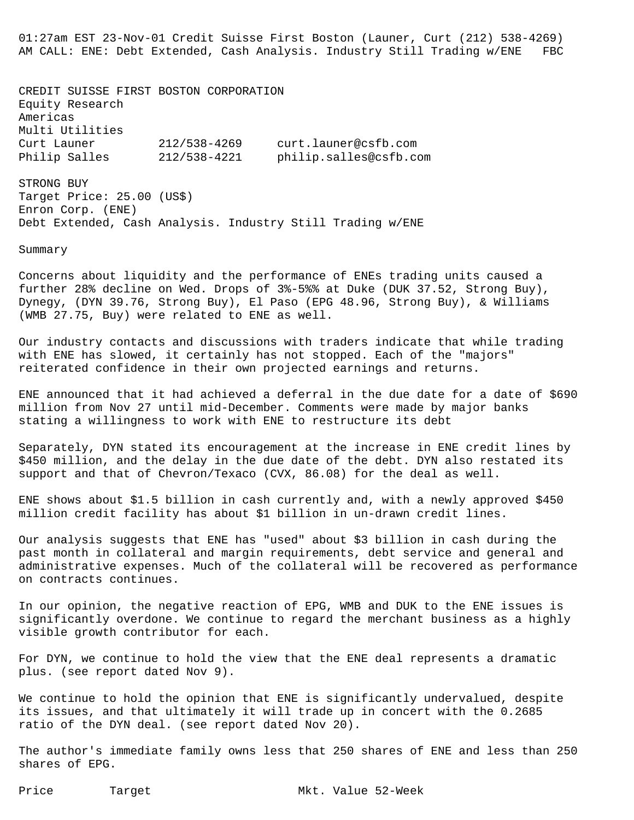01:27am EST 23-Nov-01 Credit Suisse First Boston (Launer, Curt (212) 538-4269) AM CALL: ENE: Debt Extended, Cash Analysis. Industry Still Trading w/ENE FBC

CREDIT SUISSE FIRST BOSTON CORPORATION Equity Research Americas Multi Utilities Curt Launer 212/538-4269 curt.launer@csfb.com Philip Salles 212/538-4221 philip.salles@csfb.com STRONG BUY

Target Price: 25.00 (US\$) Enron Corp. (ENE) Debt Extended, Cash Analysis. Industry Still Trading w/ENE

Summary

Concerns about liquidity and the performance of ENEs trading units caused a further 28% decline on Wed. Drops of 3%-5%% at Duke (DUK 37.52, Strong Buy), Dynegy, (DYN 39.76, Strong Buy), El Paso (EPG 48.96, Strong Buy), & Williams (WMB 27.75, Buy) were related to ENE as well.

Our industry contacts and discussions with traders indicate that while trading with ENE has slowed, it certainly has not stopped. Each of the "majors" reiterated confidence in their own projected earnings and returns.

ENE announced that it had achieved a deferral in the due date for a date of \$690 million from Nov 27 until mid-December. Comments were made by major banks stating a willingness to work with ENE to restructure its debt

Separately, DYN stated its encouragement at the increase in ENE credit lines by \$450 million, and the delay in the due date of the debt. DYN also restated its support and that of Chevron/Texaco (CVX, 86.08) for the deal as well.

ENE shows about \$1.5 billion in cash currently and, with a newly approved \$450 million credit facility has about \$1 billion in un-drawn credit lines.

Our analysis suggests that ENE has "used" about \$3 billion in cash during the past month in collateral and margin requirements, debt service and general and administrative expenses. Much of the collateral will be recovered as performance on contracts continues.

In our opinion, the negative reaction of EPG, WMB and DUK to the ENE issues is significantly overdone. We continue to regard the merchant business as a highly visible growth contributor for each.

For DYN, we continue to hold the view that the ENE deal represents a dramatic plus. (see report dated Nov 9).

We continue to hold the opinion that ENE is significantly undervalued, despite its issues, and that ultimately it will trade up in concert with the 0.2685 ratio of the DYN deal. (see report dated Nov 20).

The author's immediate family owns less that 250 shares of ENE and less than 250 shares of EPG.